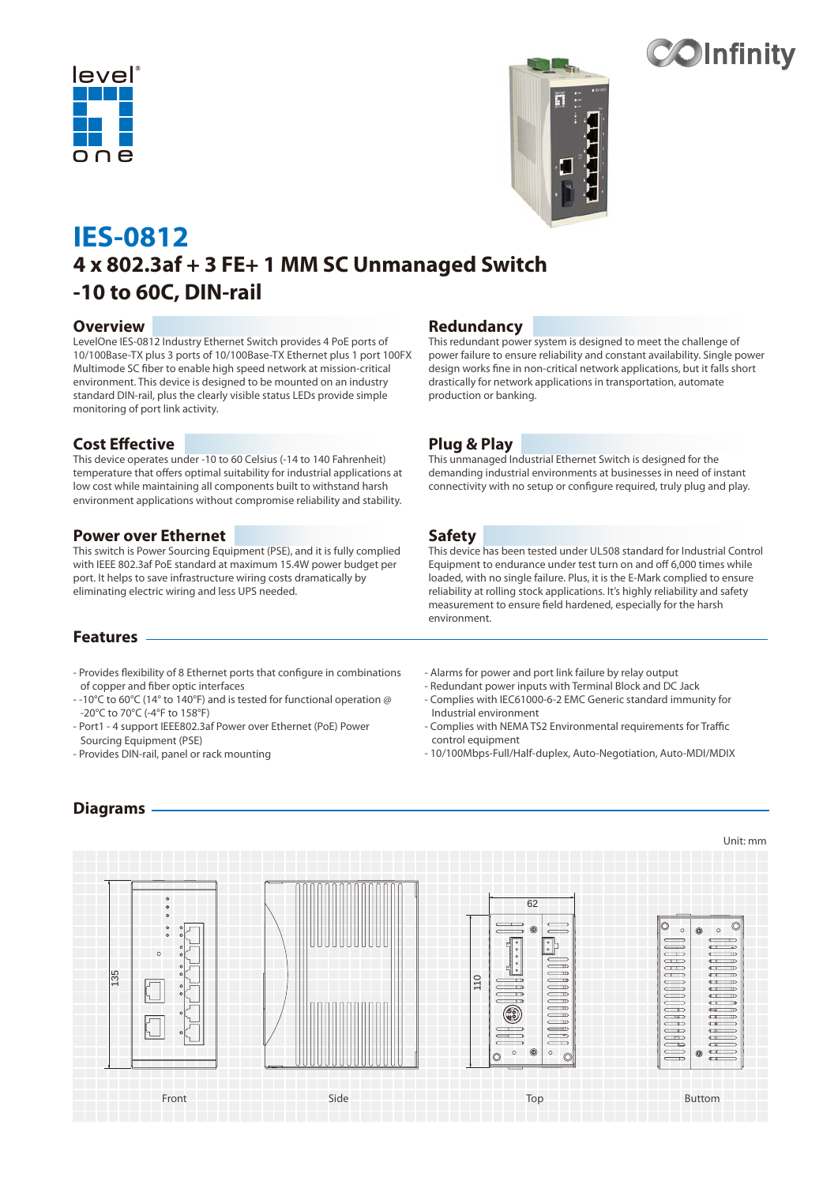





# **IES-0812 4 x 802.3af + 3 FE+ 1 MM SC Unmanaged Switch -10 to 60C, DIN-rail**

#### **Overview**

LevelOne IES-0812 Industry Ethernet Switch provides 4 PoE ports of 10/100Base-TX plus 3 ports of 10/100Base-TX Ethernet plus 1 port 100FX Multimode SC fiber to enable high speed network at mission-critical environment. This device is designed to be mounted on an industry standard DIN-rail, plus the clearly visible status LEDs provide simple monitoring of port link activity.

#### **Cost Effective**

This device operates under -10 to 60 Celsius (-14 to 140 Fahrenheit) temperature that offers optimal suitability for industrial applications at low cost while maintaining all components built to withstand harsh environment applications without compromise reliability and stability.

#### **Power over Ethernet**

This switch is Power Sourcing Equipment (PSE), and it is fully complied with IEEE 802.3af PoE standard at maximum 15.4W power budget per port. It helps to save infrastructure wiring costs dramatically by eliminating electric wiring and less UPS needed.

# **Redundancy**

This redundant power system is designed to meet the challenge of power failure to ensure reliability and constant availability. Single power design works fine in non-critical network applications, but it falls short drastically for network applications in transportation, automate production or banking.

## **Plug & Play**

This unmanaged Industrial Ethernet Switch is designed for the demanding industrial environments at businesses in need of instant connectivity with no setup or configure required, truly plug and play.

#### **Safety**

This device has been tested under UL508 standard for Industrial Control Equipment to endurance under test turn on and off 6,000 times while loaded, with no single failure. Plus, it is the E-Mark complied to ensure reliability at rolling stock applications. It's highly reliability and safety measurement to ensure field hardened, especially for the harsh environment.

#### **Features**

- Provides flexibility of 8 Ethernet ports that configure in combinations of copper and fiber optic interfaces

- -10°C to 60°C (14° to 140°F) and is tested for functional operation @ -20°C to 70°C (-4°F to 158°F)
- Port1 4 support IEEE802.3af Power over Ethernet (PoE) Power Sourcing Equipment (PSE)
- Provides DIN-rail, panel or rack mounting
- Alarms for power and port link failure by relay output
- Redundant power inputs with Terminal Block and DC Jack
- Complies with IEC61000-6-2 EMC Generic standard immunity for Industrial environment
- Complies with NEMA TS2 Environmental requirements for Traffic control equipment
- 10/100Mbps-Full/Half-duplex, Auto-Negotiation, Auto-MDI/MDIX

# **Diagrams**